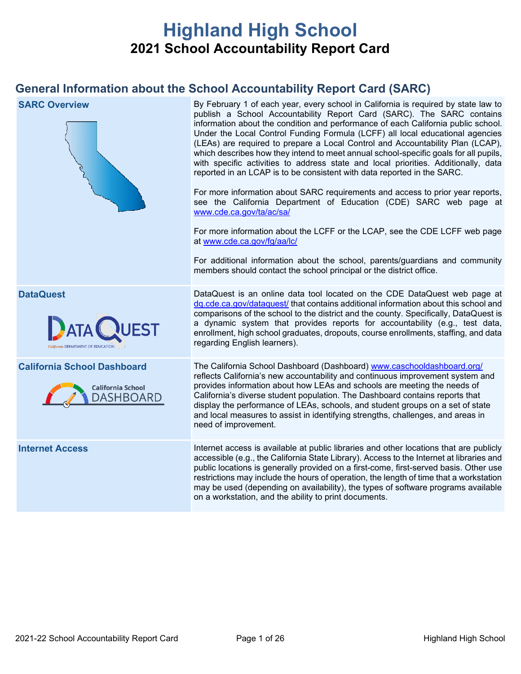# **Highland High School 2021 School Accountability Report Card**

## **General Information about the School Accountability Report Card (SARC)**

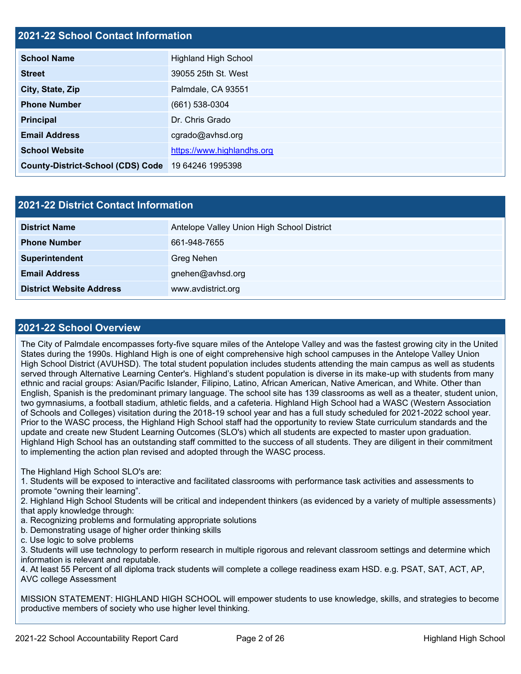### **2021-22 School Contact Information**

| <b>School Name</b>                                 | <b>Highland High School</b> |  |
|----------------------------------------------------|-----------------------------|--|
| <b>Street</b>                                      | 39055 25th St. West         |  |
| City, State, Zip                                   | Palmdale, CA 93551          |  |
| <b>Phone Number</b>                                | $(661)$ 538-0304            |  |
| <b>Principal</b>                                   | Dr. Chris Grado             |  |
| <b>Email Address</b>                               | cgrado@avhsd.org            |  |
| <b>School Website</b>                              | https://www.highlandhs.org  |  |
| County-District-School (CDS) Code 19 64246 1995398 |                             |  |

| <b>2021-22 District Contact Information</b> |                                            |  |  |  |
|---------------------------------------------|--------------------------------------------|--|--|--|
| <b>District Name</b>                        | Antelope Valley Union High School District |  |  |  |
| <b>Phone Number</b>                         | 661-948-7655                               |  |  |  |
| Superintendent                              | <b>Greg Nehen</b>                          |  |  |  |
| <b>Email Address</b>                        | gnehen@avhsd.org                           |  |  |  |
| <b>District Website Address</b>             | www.avdistrict.org                         |  |  |  |

### **2021-22 School Overview**

The City of Palmdale encompasses forty-five square miles of the Antelope Valley and was the fastest growing city in the United States during the 1990s. Highland High is one of eight comprehensive high school campuses in the Antelope Valley Union High School District (AVUHSD). The total student population includes students attending the main campus as well as students served through Alternative Learning Center's. Highland's student population is diverse in its make-up with students from many ethnic and racial groups: Asian/Pacific Islander, Filipino, Latino, African American, Native American, and White. Other than English, Spanish is the predominant primary language. The school site has 139 classrooms as well as a theater, student union, two gymnasiums, a football stadium, athletic fields, and a cafeteria. Highland High School had a WASC (Western Association of Schools and Colleges) visitation during the 2018-19 school year and has a full study scheduled for 2021-2022 school year. Prior to the WASC process, the Highland High School staff had the opportunity to review State curriculum standards and the update and create new Student Learning Outcomes (SLO's) which all students are expected to master upon graduation. Highland High School has an outstanding staff committed to the success of all students. They are diligent in their commitment to implementing the action plan revised and adopted through the WASC process.

### The Highland High School SLO's are:

1. Students will be exposed to interactive and facilitated classrooms with performance task activities and assessments to promote "owning their learning".

2. Highland High School Students will be critical and independent thinkers (as evidenced by a variety of multiple assessments) that apply knowledge through:

- a. Recognizing problems and formulating appropriate solutions
- b. Demonstrating usage of higher order thinking skills
- c. Use logic to solve problems

3. Students will use technology to perform research in multiple rigorous and relevant classroom settings and determine which information is relevant and reputable.

4. At least 55 Percent of all diploma track students will complete a college readiness exam HSD. e.g. PSAT, SAT, ACT, AP, AVC college Assessment

MISSION STATEMENT: HIGHLAND HIGH SCHOOL will empower students to use knowledge, skills, and strategies to become productive members of society who use higher level thinking.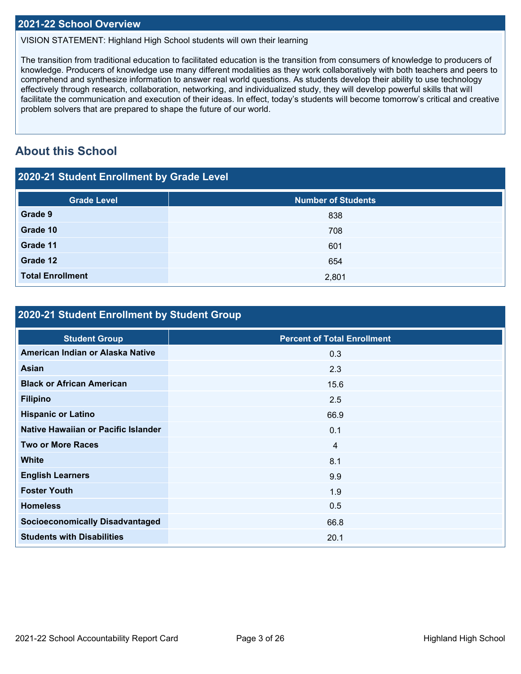### **2021-22 School Overview**

VISION STATEMENT: Highland High School students will own their learning

The transition from traditional education to facilitated education is the transition from consumers of knowledge to producers of knowledge. Producers of knowledge use many different modalities as they work collaboratively with both teachers and peers to comprehend and synthesize information to answer real world questions. As students develop their ability to use technology effectively through research, collaboration, networking, and individualized study, they will develop powerful skills that will facilitate the communication and execution of their ideas. In effect, today's students will become tomorrow's critical and creative problem solvers that are prepared to shape the future of our world.

## **About this School**

| 2020-21 Student Enrollment by Grade Level |                           |  |  |  |  |  |
|-------------------------------------------|---------------------------|--|--|--|--|--|
| <b>Grade Level</b>                        | <b>Number of Students</b> |  |  |  |  |  |
| Grade 9                                   | 838                       |  |  |  |  |  |
| Grade 10                                  | 708                       |  |  |  |  |  |
| Grade 11                                  | 601                       |  |  |  |  |  |
| Grade 12                                  | 654                       |  |  |  |  |  |
| <b>Total Enrollment</b>                   | 2,801                     |  |  |  |  |  |

### **2020-21 Student Enrollment by Student Group**

| <b>Percent of Total Enrollment</b> |
|------------------------------------|
| 0.3                                |
| 2.3                                |
| 15.6                               |
| 2.5                                |
| 66.9                               |
| 0.1                                |
| $\overline{4}$                     |
| 8.1                                |
| 9.9                                |
| 1.9                                |
| 0.5                                |
| 66.8                               |
| 20.1                               |
|                                    |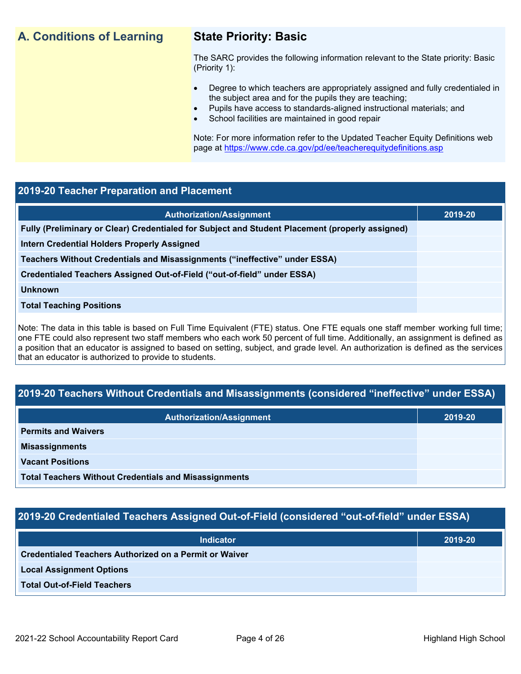## **A. Conditions of Learning State Priority: Basic**

The SARC provides the following information relevant to the State priority: Basic (Priority 1):

- Degree to which teachers are appropriately assigned and fully credentialed in the subject area and for the pupils they are teaching;
	- Pupils have access to standards-aligned instructional materials; and
- School facilities are maintained in good repair

Note: For more information refer to the Updated Teacher Equity Definitions web page at<https://www.cde.ca.gov/pd/ee/teacherequitydefinitions.asp>

### **2019-20 Teacher Preparation and Placement**

| <b>Authorization/Assignment</b>                                                                 | 2019-20 |
|-------------------------------------------------------------------------------------------------|---------|
| Fully (Preliminary or Clear) Credentialed for Subject and Student Placement (properly assigned) |         |
| <b>Intern Credential Holders Properly Assigned</b>                                              |         |
| Teachers Without Credentials and Misassignments ("ineffective" under ESSA)                      |         |
| Credentialed Teachers Assigned Out-of-Field ("out-of-field" under ESSA)                         |         |
| <b>Unknown</b>                                                                                  |         |
| <b>Total Teaching Positions</b>                                                                 |         |
|                                                                                                 |         |

Note: The data in this table is based on Full Time Equivalent (FTE) status. One FTE equals one staff member working full time; one FTE could also represent two staff members who each work 50 percent of full time. Additionally, an assignment is defined as a position that an educator is assigned to based on setting, subject, and grade level. An authorization is defined as the services that an educator is authorized to provide to students.

## **2019-20 Teachers Without Credentials and Misassignments (considered "ineffective" under ESSA)**

| <b>Authorization/Assignment</b>                              | 2019-20 |  |
|--------------------------------------------------------------|---------|--|
| <b>Permits and Waivers</b>                                   |         |  |
| <b>Misassignments</b>                                        |         |  |
| <b>Vacant Positions</b>                                      |         |  |
| <b>Total Teachers Without Credentials and Misassignments</b> |         |  |

## **2019-20 Credentialed Teachers Assigned Out-of-Field (considered "out-of-field" under ESSA)**

| <b>Indicator</b>                                       | 2019-20 |
|--------------------------------------------------------|---------|
| Credentialed Teachers Authorized on a Permit or Waiver |         |
| <b>Local Assignment Options</b>                        |         |
| <b>Total Out-of-Field Teachers</b>                     |         |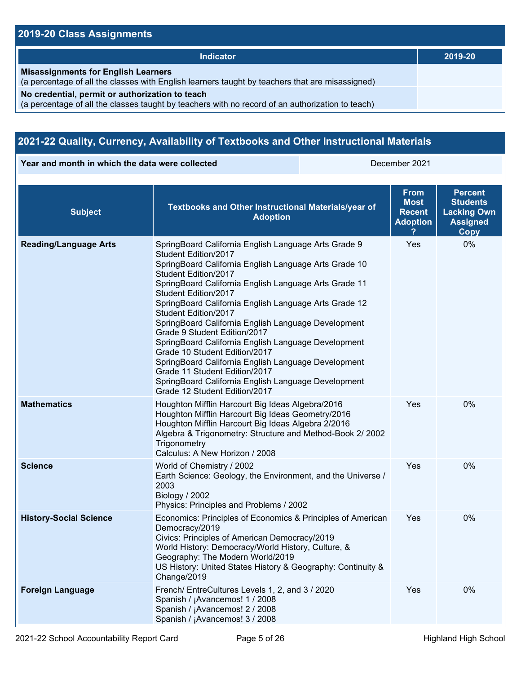## **2019-20 Class Assignments**

| Indicator                                                                                                                                           | 2019-20 |
|-----------------------------------------------------------------------------------------------------------------------------------------------------|---------|
| <b>Misassignments for English Learners</b><br>(a percentage of all the classes with English learners taught by teachers that are misassigned)       |         |
| No credential, permit or authorization to teach<br>(a percentage of all the classes taught by teachers with no record of an authorization to teach) |         |

## **2021-22 Quality, Currency, Availability of Textbooks and Other Instructional Materials**

**Year and month in which the data were collected** December 2021

| <b>Subject</b>                | Textbooks and Other Instructional Materials/year of<br><b>Adoption</b>                                                                                                                                                                                                                                                                                                                                                                                                                                                                                                                                                                                                                         | <b>From</b><br><b>Most</b><br><b>Recent</b><br><b>Adoption</b> | <b>Percent</b><br><b>Students</b><br><b>Lacking Own</b><br><b>Assigned</b><br><b>Copy</b> |
|-------------------------------|------------------------------------------------------------------------------------------------------------------------------------------------------------------------------------------------------------------------------------------------------------------------------------------------------------------------------------------------------------------------------------------------------------------------------------------------------------------------------------------------------------------------------------------------------------------------------------------------------------------------------------------------------------------------------------------------|----------------------------------------------------------------|-------------------------------------------------------------------------------------------|
| <b>Reading/Language Arts</b>  | SpringBoard California English Language Arts Grade 9<br>Student Edition/2017<br>SpringBoard California English Language Arts Grade 10<br>Student Edition/2017<br>SpringBoard California English Language Arts Grade 11<br>Student Edition/2017<br>SpringBoard California English Language Arts Grade 12<br>Student Edition/2017<br>SpringBoard California English Language Development<br>Grade 9 Student Edition/2017<br>SpringBoard California English Language Development<br>Grade 10 Student Edition/2017<br>SpringBoard California English Language Development<br>Grade 11 Student Edition/2017<br>SpringBoard California English Language Development<br>Grade 12 Student Edition/2017 | Yes                                                            | 0%                                                                                        |
| <b>Mathematics</b>            | Houghton Mifflin Harcourt Big Ideas Algebra/2016<br>Houghton Mifflin Harcourt Big Ideas Geometry/2016<br>Houghton Mifflin Harcourt Big Ideas Algebra 2/2016<br>Algebra & Trigonometry: Structure and Method-Book 2/ 2002<br>Trigonometry<br>Calculus: A New Horizon / 2008                                                                                                                                                                                                                                                                                                                                                                                                                     | Yes                                                            | 0%                                                                                        |
| <b>Science</b>                | World of Chemistry / 2002<br>Earth Science: Geology, the Environment, and the Universe /<br>2003<br>Biology / 2002<br>Physics: Principles and Problems / 2002                                                                                                                                                                                                                                                                                                                                                                                                                                                                                                                                  | Yes                                                            | 0%                                                                                        |
| <b>History-Social Science</b> | Economics: Principles of Economics & Principles of American<br>Democracy/2019<br>Civics: Principles of American Democracy/2019<br>World History: Democracy/World History, Culture, &<br>Geography: The Modern World/2019<br>US History: United States History & Geography: Continuity &<br>Change/2019                                                                                                                                                                                                                                                                                                                                                                                         | Yes                                                            | 0%                                                                                        |
| <b>Foreign Language</b>       | French/ EntreCultures Levels 1, 2, and 3 / 2020<br>Spanish / ¡Avancemos! 1 / 2008<br>Spanish / ¡Avancemos! 2 / 2008<br>Spanish / ¡Avancemos! 3 / 2008                                                                                                                                                                                                                                                                                                                                                                                                                                                                                                                                          | Yes                                                            | 0%                                                                                        |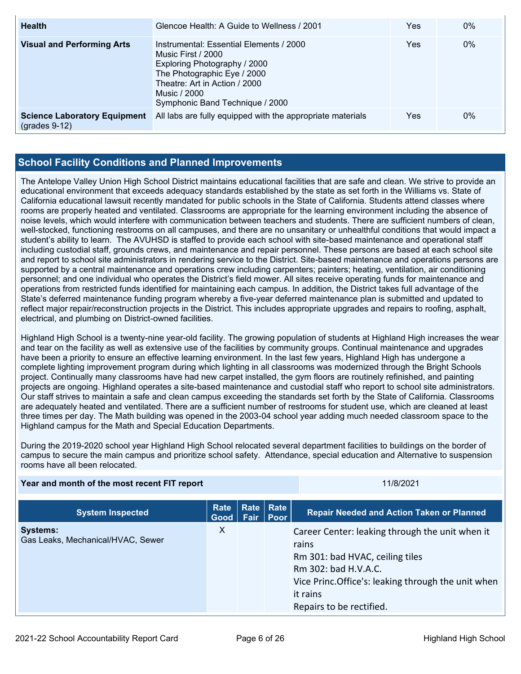| <b>Health</b>                                          | Glencoe Health: A Guide to Wellness / 2001                                                                                                                                                                       | Yes | $0\%$ |
|--------------------------------------------------------|------------------------------------------------------------------------------------------------------------------------------------------------------------------------------------------------------------------|-----|-------|
| <b>Visual and Performing Arts</b>                      | Instrumental: Essential Elements / 2000<br>Music First / 2000<br>Exploring Photography / 2000<br>The Photographic Eye / 2000<br>Theatre: Art in Action / 2000<br>Music / 2000<br>Symphonic Band Technique / 2000 | Yes | $0\%$ |
| <b>Science Laboratory Equipment</b><br>$(grades 9-12)$ | All labs are fully equipped with the appropriate materials                                                                                                                                                       | Yes | $0\%$ |

### **School Facility Conditions and Planned Improvements**

The Antelope Valley Union High School District maintains educational facilities that are safe and clean. We strive to provide an educational environment that exceeds adequacy standards established by the state as set forth in the Williams vs. State of California educational lawsuit recently mandated for public schools in the State of California. Students attend classes where rooms are properly heated and ventilated. Classrooms are appropriate for the learning environment including the absence of noise levels, which would interfere with communication between teachers and students. There are sufficient numbers of clean, well-stocked, functioning restrooms on all campuses, and there are no unsanitary or unhealthful conditions that would impact a student's ability to learn. The AVUHSD is staffed to provide each school with site-based maintenance and operational staff including custodial staff, grounds crews, and maintenance and repair personnel. These persons are based at each school site and report to school site administrators in rendering service to the District. Site-based maintenance and operations persons are supported by a central maintenance and operations crew including carpenters; painters; heating, ventilation, air conditioning personnel; and one individual who operates the District's field mower. All sites receive operating funds for maintenance and operations from restricted funds identified for maintaining each campus. In addition, the District takes full advantage of the State's deferred maintenance funding program whereby a five-year deferred maintenance plan is submitted and updated to reflect major repair/reconstruction projects in the District. This includes appropriate upgrades and repairs to roofing, asphalt, electrical, and plumbing on District-owned facilities.

Highland High School is a twenty-nine year-old facility. The growing population of students at Highland High increases the wear and tear on the facility as well as extensive use of the facilities by community groups. Continual maintenance and upgrades have been a priority to ensure an effective learning environment. In the last few years, Highland High has undergone a complete lighting improvement program during which lighting in all classrooms was modernized through the Bright Schools project. Continually many classrooms have had new carpet installed, the gym floors are routinely refinished, and painting projects are ongoing. Highland operates a site-based maintenance and custodial staff who report to school site administrators. Our staff strives to maintain a safe and clean campus exceeding the standards set forth by the State of California. Classrooms are adequately heated and ventilated. There are a sufficient number of restrooms for student use, which are cleaned at least three times per day. The Math building was opened in the 2003-04 school year adding much needed classroom space to the Highland campus for the Math and Special Education Departments.

During the 2019-2020 school year Highland High School relocated several department facilities to buildings on the border of campus to secure the main campus and prioritize school safety. Attendance, special education and Alternative to suspension rooms have all been relocated.

| Year and month of the most recent FIT report         |                     |      | 11/8/2021                       |                                                                                                                                                                                                                    |
|------------------------------------------------------|---------------------|------|---------------------------------|--------------------------------------------------------------------------------------------------------------------------------------------------------------------------------------------------------------------|
| <b>System Inspected</b>                              | Rate<br><b>Good</b> | Fair | <b>Rate Rate</b><br><b>Poor</b> | <b>Repair Needed and Action Taken or Planned</b>                                                                                                                                                                   |
| <b>Systems:</b><br>Gas Leaks, Mechanical/HVAC, Sewer | X                   |      |                                 | Career Center: leaking through the unit when it<br>rains<br>Rm 301: bad HVAC, ceiling tiles<br>Rm 302: bad H.V.A.C.<br>Vice Princ. Office's: leaking through the unit when<br>it rains<br>Repairs to be rectified. |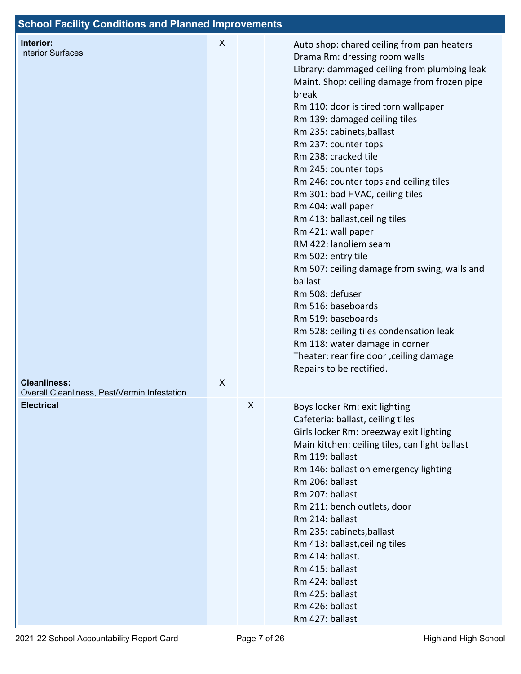| <b>School Facility Conditions and Planned Improvements</b>        |                    |   |                                                                                                                                                                                                                                                                                                                                                                                                                                                                                                                                                                                                                                                                                                                                                                                                                                                             |
|-------------------------------------------------------------------|--------------------|---|-------------------------------------------------------------------------------------------------------------------------------------------------------------------------------------------------------------------------------------------------------------------------------------------------------------------------------------------------------------------------------------------------------------------------------------------------------------------------------------------------------------------------------------------------------------------------------------------------------------------------------------------------------------------------------------------------------------------------------------------------------------------------------------------------------------------------------------------------------------|
| Interior:<br><b>Interior Surfaces</b>                             | X                  |   | Auto shop: chared ceiling from pan heaters<br>Drama Rm: dressing room walls<br>Library: dammaged ceiling from plumbing leak<br>Maint. Shop: ceiling damage from frozen pipe<br>break<br>Rm 110: door is tired torn wallpaper<br>Rm 139: damaged ceiling tiles<br>Rm 235: cabinets, ballast<br>Rm 237: counter tops<br>Rm 238: cracked tile<br>Rm 245: counter tops<br>Rm 246: counter tops and ceiling tiles<br>Rm 301: bad HVAC, ceiling tiles<br>Rm 404: wall paper<br>Rm 413: ballast, ceiling tiles<br>Rm 421: wall paper<br>RM 422: lanoliem seam<br>Rm 502: entry tile<br>Rm 507: ceiling damage from swing, walls and<br>ballast<br>Rm 508: defuser<br>Rm 516: baseboards<br>Rm 519: baseboards<br>Rm 528: ceiling tiles condensation leak<br>Rm 118: water damage in corner<br>Theater: rear fire door , ceiling damage<br>Repairs to be rectified. |
| <b>Cleanliness:</b>                                               | $\pmb{\mathsf{X}}$ |   |                                                                                                                                                                                                                                                                                                                                                                                                                                                                                                                                                                                                                                                                                                                                                                                                                                                             |
| Overall Cleanliness, Pest/Vermin Infestation<br><b>Electrical</b> |                    | X | Boys locker Rm: exit lighting<br>Cafeteria: ballast, ceiling tiles<br>Girls locker Rm: breezway exit lighting<br>Main kitchen: ceiling tiles, can light ballast<br>Rm 119: ballast<br>Rm 146: ballast on emergency lighting<br>Rm 206: ballast<br>Rm 207: ballast<br>Rm 211: bench outlets, door<br>Rm 214: ballast<br>Rm 235: cabinets, ballast<br>Rm 413: ballast, ceiling tiles<br>Rm 414: ballast.<br>Rm 415: ballast<br>Rm 424: ballast<br>Rm 425: ballast<br>Rm 426: ballast<br>Rm 427: ballast                                                                                                                                                                                                                                                                                                                                                       |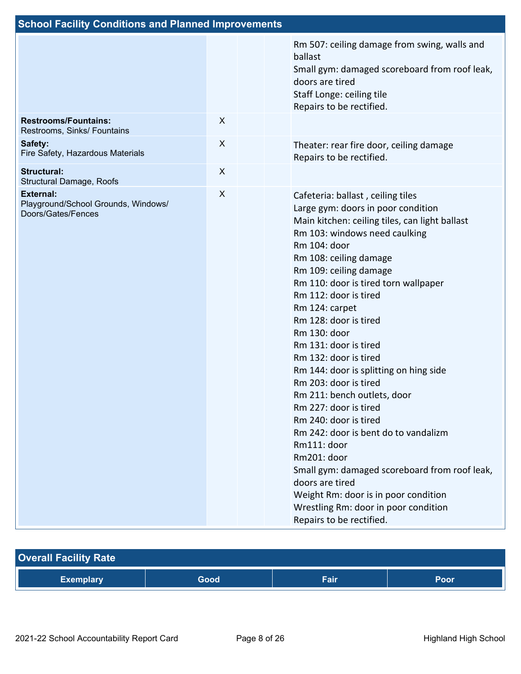|                  | Rm 507: ceiling damage from swing, walls and<br>ballast<br>Small gym: damaged scoreboard from roof leak,<br>doors are tired<br>Staff Longe: ceiling tile<br>Repairs to be rectified.                                                                                                                                                                                                                                                                                                                                                                                                                                                                                                                                                                                                                                   |
|------------------|------------------------------------------------------------------------------------------------------------------------------------------------------------------------------------------------------------------------------------------------------------------------------------------------------------------------------------------------------------------------------------------------------------------------------------------------------------------------------------------------------------------------------------------------------------------------------------------------------------------------------------------------------------------------------------------------------------------------------------------------------------------------------------------------------------------------|
| $\boldsymbol{X}$ |                                                                                                                                                                                                                                                                                                                                                                                                                                                                                                                                                                                                                                                                                                                                                                                                                        |
| $\boldsymbol{X}$ | Theater: rear fire door, ceiling damage<br>Repairs to be rectified.                                                                                                                                                                                                                                                                                                                                                                                                                                                                                                                                                                                                                                                                                                                                                    |
| $\boldsymbol{X}$ |                                                                                                                                                                                                                                                                                                                                                                                                                                                                                                                                                                                                                                                                                                                                                                                                                        |
| X                | Cafeteria: ballast, ceiling tiles<br>Large gym: doors in poor condition<br>Main kitchen: ceiling tiles, can light ballast<br>Rm 103: windows need caulking<br>Rm 104: door<br>Rm 108: ceiling damage<br>Rm 109: ceiling damage<br>Rm 110: door is tired torn wallpaper<br>Rm 112: door is tired<br>Rm 124: carpet<br>Rm 128: door is tired<br>Rm 130: door<br>Rm 131: door is tired<br>Rm 132: door is tired<br>Rm 144: door is splitting on hing side<br>Rm 203: door is tired<br>Rm 211: bench outlets, door<br>Rm 227: door is tired<br>Rm 240: door is tired<br>Rm 242: door is bent do to vandalizm<br>Rm111: door<br>Rm201: door<br>Small gym: damaged scoreboard from roof leak,<br>doors are tired<br>Weight Rm: door is in poor condition<br>Wrestling Rm: door in poor condition<br>Repairs to be rectified. |
|                  | <b>School Facility Conditions and Planned Improvements</b>                                                                                                                                                                                                                                                                                                                                                                                                                                                                                                                                                                                                                                                                                                                                                             |

| <b>Overall Facility Rate</b> |      |      |      |
|------------------------------|------|------|------|
| <b>Exemplary</b>             | Good | Fair | Poor |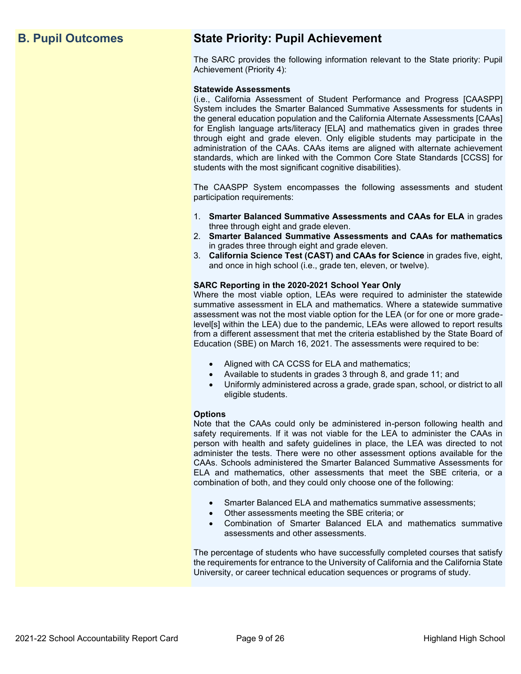## **B. Pupil Outcomes State Priority: Pupil Achievement**

The SARC provides the following information relevant to the State priority: Pupil Achievement (Priority 4):

### **Statewide Assessments**

(i.e., California Assessment of Student Performance and Progress [CAASPP] System includes the Smarter Balanced Summative Assessments for students in the general education population and the California Alternate Assessments [CAAs] for English language arts/literacy [ELA] and mathematics given in grades three through eight and grade eleven. Only eligible students may participate in the administration of the CAAs. CAAs items are aligned with alternate achievement standards, which are linked with the Common Core State Standards [CCSS] for students with the most significant cognitive disabilities).

The CAASPP System encompasses the following assessments and student participation requirements:

- 1. **Smarter Balanced Summative Assessments and CAAs for ELA** in grades three through eight and grade eleven.
- 2. **Smarter Balanced Summative Assessments and CAAs for mathematics** in grades three through eight and grade eleven.
- 3. **California Science Test (CAST) and CAAs for Science** in grades five, eight, and once in high school (i.e., grade ten, eleven, or twelve).

### **SARC Reporting in the 2020-2021 School Year Only**

Where the most viable option, LEAs were required to administer the statewide summative assessment in ELA and mathematics. Where a statewide summative assessment was not the most viable option for the LEA (or for one or more gradelevel[s] within the LEA) due to the pandemic, LEAs were allowed to report results from a different assessment that met the criteria established by the State Board of Education (SBE) on March 16, 2021. The assessments were required to be:

- Aligned with CA CCSS for ELA and mathematics;
- Available to students in grades 3 through 8, and grade 11; and
- Uniformly administered across a grade, grade span, school, or district to all eligible students.

### **Options**

Note that the CAAs could only be administered in-person following health and safety requirements. If it was not viable for the LEA to administer the CAAs in person with health and safety guidelines in place, the LEA was directed to not administer the tests. There were no other assessment options available for the CAAs. Schools administered the Smarter Balanced Summative Assessments for ELA and mathematics, other assessments that meet the SBE criteria, or a combination of both, and they could only choose one of the following:

- Smarter Balanced ELA and mathematics summative assessments;
- Other assessments meeting the SBE criteria; or
- Combination of Smarter Balanced ELA and mathematics summative assessments and other assessments.

The percentage of students who have successfully completed courses that satisfy the requirements for entrance to the University of California and the California State University, or career technical education sequences or programs of study.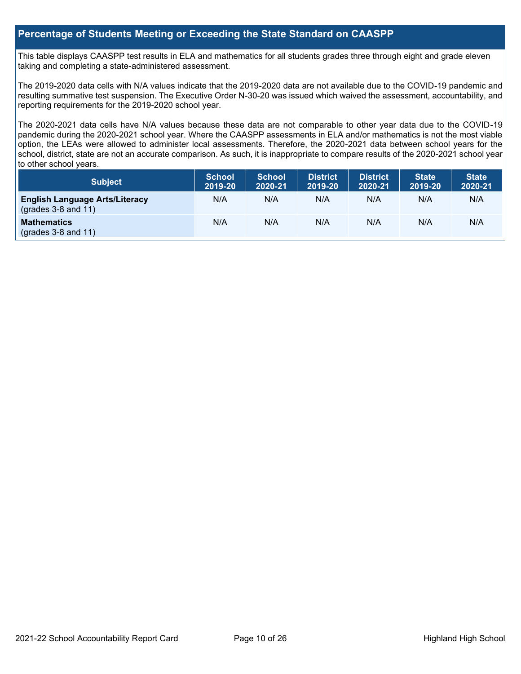### **Percentage of Students Meeting or Exceeding the State Standard on CAASPP**

This table displays CAASPP test results in ELA and mathematics for all students grades three through eight and grade eleven taking and completing a state-administered assessment.

The 2019-2020 data cells with N/A values indicate that the 2019-2020 data are not available due to the COVID-19 pandemic and resulting summative test suspension. The Executive Order N-30-20 was issued which waived the assessment, accountability, and reporting requirements for the 2019-2020 school year.

The 2020-2021 data cells have N/A values because these data are not comparable to other year data due to the COVID-19 pandemic during the 2020-2021 school year. Where the CAASPP assessments in ELA and/or mathematics is not the most viable option, the LEAs were allowed to administer local assessments. Therefore, the 2020-2021 data between school years for the school, district, state are not an accurate comparison. As such, it is inappropriate to compare results of the 2020-2021 school year to other school years.

| <b>Subject</b>                                                 | <b>School</b><br>2019-20 | <b>School</b><br>2020-21 | District<br>2019-20 | <b>District</b><br>2020-21 | <b>State</b><br>2019-20 | <b>State</b><br>2020-21 |
|----------------------------------------------------------------|--------------------------|--------------------------|---------------------|----------------------------|-------------------------|-------------------------|
| <b>English Language Arts/Literacy</b><br>$(grades 3-8 and 11)$ | N/A                      | N/A                      | N/A                 | N/A                        | N/A                     | N/A                     |
| <b>Mathematics</b><br>$(grades 3-8 and 11)$                    | N/A                      | N/A                      | N/A                 | N/A                        | N/A                     | N/A                     |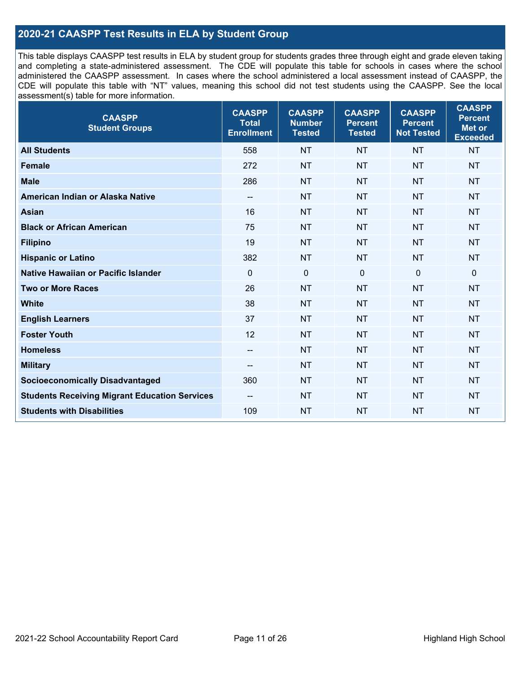### **2020-21 CAASPP Test Results in ELA by Student Group**

This table displays CAASPP test results in ELA by student group for students grades three through eight and grade eleven taking and completing a state-administered assessment. The CDE will populate this table for schools in cases where the school administered the CAASPP assessment. In cases where the school administered a local assessment instead of CAASPP, the CDE will populate this table with "NT" values, meaning this school did not test students using the CAASPP. See the local assessment(s) table for more information.

| <b>CAASPP</b><br><b>Student Groups</b>               | <b>CAASPP</b><br><b>Total</b><br><b>Enrollment</b> | <b>CAASPP</b><br><b>Number</b><br><b>Tested</b> | <b>CAASPP</b><br><b>Percent</b><br><b>Tested</b> | <b>CAASPP</b><br><b>Percent</b><br><b>Not Tested</b> | <b>CAASPP</b><br><b>Percent</b><br>Met or<br><b>Exceeded</b> |
|------------------------------------------------------|----------------------------------------------------|-------------------------------------------------|--------------------------------------------------|------------------------------------------------------|--------------------------------------------------------------|
| <b>All Students</b>                                  | 558                                                | <b>NT</b>                                       | <b>NT</b>                                        | <b>NT</b>                                            | <b>NT</b>                                                    |
| <b>Female</b>                                        | 272                                                | <b>NT</b>                                       | <b>NT</b>                                        | <b>NT</b>                                            | <b>NT</b>                                                    |
| <b>Male</b>                                          | 286                                                | <b>NT</b>                                       | <b>NT</b>                                        | <b>NT</b>                                            | <b>NT</b>                                                    |
| American Indian or Alaska Native                     | $\overline{\phantom{a}}$                           | <b>NT</b>                                       | <b>NT</b>                                        | <b>NT</b>                                            | <b>NT</b>                                                    |
| <b>Asian</b>                                         | 16                                                 | <b>NT</b>                                       | <b>NT</b>                                        | <b>NT</b>                                            | <b>NT</b>                                                    |
| <b>Black or African American</b>                     | 75                                                 | <b>NT</b>                                       | <b>NT</b>                                        | <b>NT</b>                                            | <b>NT</b>                                                    |
| <b>Filipino</b>                                      | 19                                                 | <b>NT</b>                                       | <b>NT</b>                                        | <b>NT</b>                                            | <b>NT</b>                                                    |
| <b>Hispanic or Latino</b>                            | 382                                                | <b>NT</b>                                       | <b>NT</b>                                        | <b>NT</b>                                            | <b>NT</b>                                                    |
| Native Hawaiian or Pacific Islander                  | $\mathbf 0$                                        | $\mathbf 0$                                     | $\mathbf{0}$                                     | $\overline{0}$                                       | 0                                                            |
| <b>Two or More Races</b>                             | 26                                                 | <b>NT</b>                                       | <b>NT</b>                                        | <b>NT</b>                                            | <b>NT</b>                                                    |
| <b>White</b>                                         | 38                                                 | <b>NT</b>                                       | <b>NT</b>                                        | <b>NT</b>                                            | <b>NT</b>                                                    |
| <b>English Learners</b>                              | 37                                                 | <b>NT</b>                                       | <b>NT</b>                                        | <b>NT</b>                                            | <b>NT</b>                                                    |
| <b>Foster Youth</b>                                  | 12                                                 | <b>NT</b>                                       | <b>NT</b>                                        | <b>NT</b>                                            | <b>NT</b>                                                    |
| <b>Homeless</b>                                      | $\overline{\phantom{a}}$                           | <b>NT</b>                                       | <b>NT</b>                                        | <b>NT</b>                                            | <b>NT</b>                                                    |
| <b>Military</b>                                      | --                                                 | <b>NT</b>                                       | <b>NT</b>                                        | <b>NT</b>                                            | <b>NT</b>                                                    |
| <b>Socioeconomically Disadvantaged</b>               | 360                                                | <b>NT</b>                                       | <b>NT</b>                                        | <b>NT</b>                                            | <b>NT</b>                                                    |
| <b>Students Receiving Migrant Education Services</b> | $\overline{\phantom{a}}$                           | <b>NT</b>                                       | <b>NT</b>                                        | <b>NT</b>                                            | <b>NT</b>                                                    |
| <b>Students with Disabilities</b>                    | 109                                                | <b>NT</b>                                       | <b>NT</b>                                        | <b>NT</b>                                            | <b>NT</b>                                                    |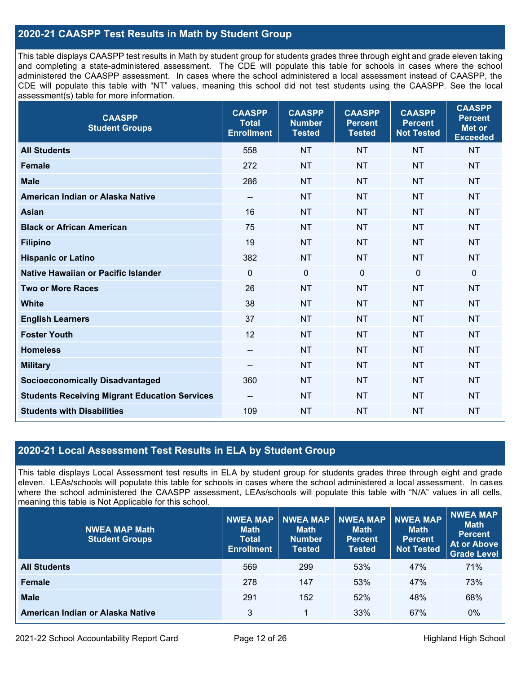### **2020-21 CAASPP Test Results in Math by Student Group**

This table displays CAASPP test results in Math by student group for students grades three through eight and grade eleven taking and completing a state-administered assessment. The CDE will populate this table for schools in cases where the school administered the CAASPP assessment. In cases where the school administered a local assessment instead of CAASPP, the CDE will populate this table with "NT" values, meaning this school did not test students using the CAASPP. See the local assessment(s) table for more information.

| <b>CAASPP</b><br><b>Student Groups</b>               | <b>CAASPP</b><br><b>Total</b><br><b>Enrollment</b> | <b>CAASPP</b><br><b>Number</b><br><b>Tested</b> | <b>CAASPP</b><br><b>Percent</b><br><b>Tested</b> | <b>CAASPP</b><br><b>Percent</b><br><b>Not Tested</b> | <b>CAASPP</b><br><b>Percent</b><br><b>Met or</b><br><b>Exceeded</b> |
|------------------------------------------------------|----------------------------------------------------|-------------------------------------------------|--------------------------------------------------|------------------------------------------------------|---------------------------------------------------------------------|
| <b>All Students</b>                                  | 558                                                | <b>NT</b>                                       | <b>NT</b>                                        | <b>NT</b>                                            | <b>NT</b>                                                           |
| <b>Female</b>                                        | 272                                                | <b>NT</b>                                       | <b>NT</b>                                        | <b>NT</b>                                            | <b>NT</b>                                                           |
| <b>Male</b>                                          | 286                                                | <b>NT</b>                                       | <b>NT</b>                                        | <b>NT</b>                                            | <b>NT</b>                                                           |
| American Indian or Alaska Native                     | $\overline{\phantom{a}}$                           | <b>NT</b>                                       | <b>NT</b>                                        | <b>NT</b>                                            | <b>NT</b>                                                           |
| <b>Asian</b>                                         | 16                                                 | <b>NT</b>                                       | <b>NT</b>                                        | <b>NT</b>                                            | <b>NT</b>                                                           |
| <b>Black or African American</b>                     | 75                                                 | <b>NT</b>                                       | <b>NT</b>                                        | <b>NT</b>                                            | <b>NT</b>                                                           |
| <b>Filipino</b>                                      | 19                                                 | <b>NT</b>                                       | <b>NT</b>                                        | <b>NT</b>                                            | <b>NT</b>                                                           |
| <b>Hispanic or Latino</b>                            | 382                                                | <b>NT</b>                                       | <b>NT</b>                                        | <b>NT</b>                                            | <b>NT</b>                                                           |
| Native Hawaiian or Pacific Islander                  | $\Omega$                                           | $\mathbf 0$                                     | $\mathbf 0$                                      | $\overline{0}$                                       | $\mathbf 0$                                                         |
| <b>Two or More Races</b>                             | 26                                                 | <b>NT</b>                                       | <b>NT</b>                                        | <b>NT</b>                                            | <b>NT</b>                                                           |
| <b>White</b>                                         | 38                                                 | <b>NT</b>                                       | <b>NT</b>                                        | <b>NT</b>                                            | <b>NT</b>                                                           |
| <b>English Learners</b>                              | 37                                                 | <b>NT</b>                                       | <b>NT</b>                                        | <b>NT</b>                                            | <b>NT</b>                                                           |
| <b>Foster Youth</b>                                  | 12                                                 | <b>NT</b>                                       | <b>NT</b>                                        | <b>NT</b>                                            | <b>NT</b>                                                           |
| <b>Homeless</b>                                      | $\qquad \qquad -$                                  | <b>NT</b>                                       | <b>NT</b>                                        | <b>NT</b>                                            | <b>NT</b>                                                           |
| <b>Military</b>                                      | $\overline{\phantom{a}}$                           | <b>NT</b>                                       | <b>NT</b>                                        | <b>NT</b>                                            | <b>NT</b>                                                           |
| <b>Socioeconomically Disadvantaged</b>               | 360                                                | <b>NT</b>                                       | <b>NT</b>                                        | <b>NT</b>                                            | <b>NT</b>                                                           |
| <b>Students Receiving Migrant Education Services</b> | $\overline{\phantom{a}}$                           | <b>NT</b>                                       | <b>NT</b>                                        | <b>NT</b>                                            | <b>NT</b>                                                           |
| <b>Students with Disabilities</b>                    | 109                                                | <b>NT</b>                                       | <b>NT</b>                                        | <b>NT</b>                                            | <b>NT</b>                                                           |

### **2020-21 Local Assessment Test Results in ELA by Student Group**

This table displays Local Assessment test results in ELA by student group for students grades three through eight and grade eleven. LEAs/schools will populate this table for schools in cases where the school administered a local assessment. In cases where the school administered the CAASPP assessment, LEAs/schools will populate this table with "N/A" values in all cells, meaning this table is Not Applicable for this school.

| <b>NWEA MAP Math</b><br><b>Student Groups</b> | <b>NWEA MAP</b><br><b>Math</b><br><b>Total</b><br><b>Enrollment</b> | <b>NWEA MAP</b><br><b>Math</b><br><b>Number</b><br>Tested | <b>NWEA MAP</b><br><b>Math</b><br><b>Percent</b><br><b>Tested</b> | <b>NWEA MAP</b><br><b>Math</b><br><b>Percent</b><br><b>Not Tested</b> | <b>NWEA MAP</b><br><b>Math</b><br><b>Percent</b><br>At or Above<br><b>Grade Level</b> |
|-----------------------------------------------|---------------------------------------------------------------------|-----------------------------------------------------------|-------------------------------------------------------------------|-----------------------------------------------------------------------|---------------------------------------------------------------------------------------|
| <b>All Students</b>                           | 569                                                                 | 299                                                       | 53%                                                               | 47%                                                                   | 71%                                                                                   |
| <b>Female</b>                                 | 278                                                                 | 147                                                       | 53%                                                               | 47%                                                                   | 73%                                                                                   |
| <b>Male</b>                                   | 291                                                                 | 152                                                       | 52%                                                               | 48%                                                                   | 68%                                                                                   |
| American Indian or Alaska Native              | 3                                                                   | 1                                                         | 33%                                                               | 67%                                                                   | $0\%$                                                                                 |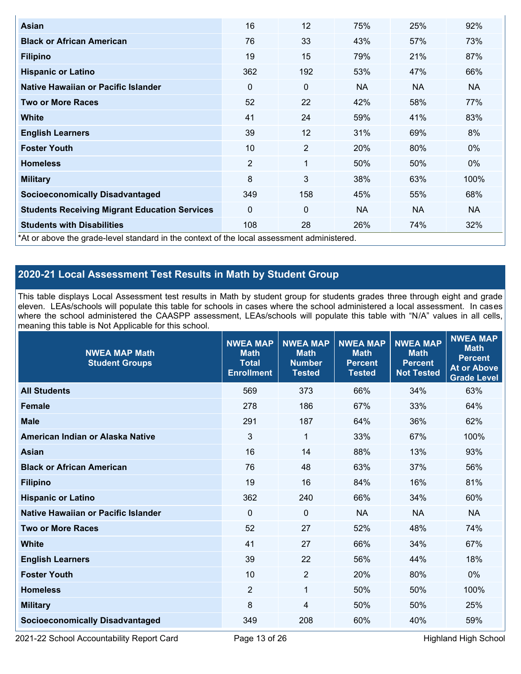| Asian                                                                                      | 16             | 12             | 75%       | 25%       | 92%       |
|--------------------------------------------------------------------------------------------|----------------|----------------|-----------|-----------|-----------|
| <b>Black or African American</b>                                                           | 76             | 33             | 43%       | 57%       | 73%       |
| <b>Filipino</b>                                                                            | 19             | 15             | 79%       | 21%       | 87%       |
| <b>Hispanic or Latino</b>                                                                  | 362            | 192            | 53%       | 47%       | 66%       |
| Native Hawaiian or Pacific Islander                                                        | $\Omega$       | 0              | <b>NA</b> | <b>NA</b> | NA.       |
| <b>Two or More Races</b>                                                                   | 52             | 22             | 42%       | 58%       | 77%       |
| <b>White</b>                                                                               | 41             | 24             | 59%       | 41%       | 83%       |
| <b>English Learners</b>                                                                    | 39             | 12             | 31%       | 69%       | 8%        |
| <b>Foster Youth</b>                                                                        | 10             | $\overline{2}$ | 20%       | 80%       | $0\%$     |
| <b>Homeless</b>                                                                            | $\overline{2}$ | 1              | 50%       | 50%       | $0\%$     |
| <b>Military</b>                                                                            | 8              | 3              | 38%       | 63%       | 100%      |
| <b>Socioeconomically Disadvantaged</b>                                                     | 349            | 158            | 45%       | 55%       | 68%       |
| <b>Students Receiving Migrant Education Services</b>                                       | $\Omega$       | 0              | <b>NA</b> | <b>NA</b> | <b>NA</b> |
| <b>Students with Disabilities</b>                                                          | 108            | 28             | 26%       | 74%       | 32%       |
| *At or above the grade-level standard in the context of the local assessment administered. |                |                |           |           |           |

## **2020-21 Local Assessment Test Results in Math by Student Group**

This table displays Local Assessment test results in Math by student group for students grades three through eight and grade eleven. LEAs/schools will populate this table for schools in cases where the school administered a local assessment. In cases where the school administered the CAASPP assessment, LEAs/schools will populate this table with "N/A" values in all cells, meaning this table is Not Applicable for this school.

| <b>NWEA MAP Math</b><br><b>Student Groups</b> | <b>NWEA MAP</b><br><b>Math</b><br><b>Total</b><br><b>Enrollment</b> | <b>NWEA MAP</b><br><b>Math</b><br><b>Number</b><br><b>Tested</b> | <b>NWEA MAP</b><br><b>Math</b><br><b>Percent</b><br><b>Tested</b> | <b>NWEA MAP</b><br><b>Math</b><br><b>Percent</b><br><b>Not Tested</b> | <b>NWEA MAP</b><br><b>Math</b><br><b>Percent</b><br><b>At or Above</b><br><b>Grade Level</b> |
|-----------------------------------------------|---------------------------------------------------------------------|------------------------------------------------------------------|-------------------------------------------------------------------|-----------------------------------------------------------------------|----------------------------------------------------------------------------------------------|
| <b>All Students</b>                           | 569                                                                 | 373                                                              | 66%                                                               | 34%                                                                   | 63%                                                                                          |
| <b>Female</b>                                 | 278                                                                 | 186                                                              | 67%                                                               | 33%                                                                   | 64%                                                                                          |
| <b>Male</b>                                   | 291                                                                 | 187                                                              | 64%                                                               | 36%                                                                   | 62%                                                                                          |
| American Indian or Alaska Native              | 3                                                                   | $\mathbf{1}$                                                     | 33%                                                               | 67%                                                                   | 100%                                                                                         |
| <b>Asian</b>                                  | 16                                                                  | 14                                                               | 88%                                                               | 13%                                                                   | 93%                                                                                          |
| <b>Black or African American</b>              | 76                                                                  | 48                                                               | 63%                                                               | 37%                                                                   | 56%                                                                                          |
| <b>Filipino</b>                               | 19                                                                  | 16                                                               | 84%                                                               | 16%                                                                   | 81%                                                                                          |
| <b>Hispanic or Latino</b>                     | 362                                                                 | 240                                                              | 66%                                                               | 34%                                                                   | 60%                                                                                          |
| Native Hawaiian or Pacific Islander           | $\Omega$                                                            | $\mathbf{0}$                                                     | <b>NA</b>                                                         | <b>NA</b>                                                             | <b>NA</b>                                                                                    |
| <b>Two or More Races</b>                      | 52                                                                  | 27                                                               | 52%                                                               | 48%                                                                   | 74%                                                                                          |
| <b>White</b>                                  | 41                                                                  | 27                                                               | 66%                                                               | 34%                                                                   | 67%                                                                                          |
| <b>English Learners</b>                       | 39                                                                  | 22                                                               | 56%                                                               | 44%                                                                   | 18%                                                                                          |
| <b>Foster Youth</b>                           | 10                                                                  | $\overline{2}$                                                   | 20%                                                               | 80%                                                                   | $0\%$                                                                                        |
| <b>Homeless</b>                               | $\overline{2}$                                                      | $\mathbf{1}$                                                     | 50%                                                               | 50%                                                                   | 100%                                                                                         |
| <b>Military</b>                               | 8                                                                   | 4                                                                | 50%                                                               | 50%                                                                   | 25%                                                                                          |
| <b>Socioeconomically Disadvantaged</b>        | 349                                                                 | 208                                                              | 60%                                                               | 40%                                                                   | 59%                                                                                          |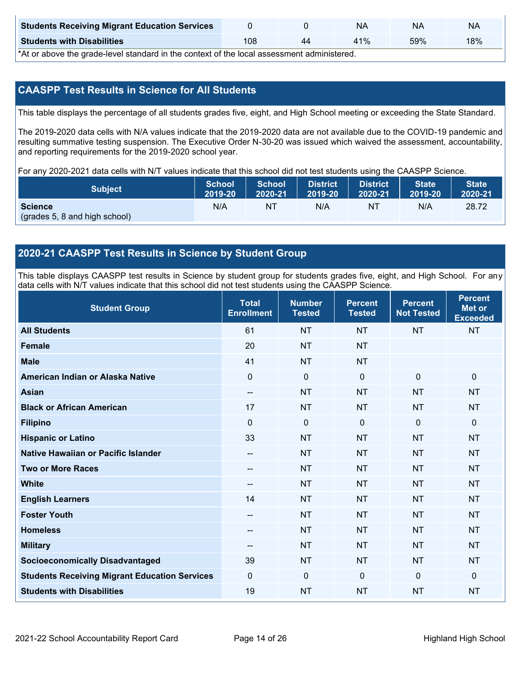| <b>Students Receiving Migrant Education Services</b> |     | NΑ  | ΝA  | NA  |
|------------------------------------------------------|-----|-----|-----|-----|
| <b>Students with Disabilities</b>                    | 108 | 41% | 59% | 18% |

\*At or above the grade-level standard in the context of the local assessment administered.

### **CAASPP Test Results in Science for All Students**

This table displays the percentage of all students grades five, eight, and High School meeting or exceeding the State Standard.

The 2019-2020 data cells with N/A values indicate that the 2019-2020 data are not available due to the COVID-19 pandemic and resulting summative testing suspension. The Executive Order N-30-20 was issued which waived the assessment, accountability, and reporting requirements for the 2019-2020 school year.

For any 2020-2021 data cells with N/T values indicate that this school did not test students using the CAASPP Science.

| <b>Subject</b>                                  | School  | <b>School</b> | <b>District</b> | <b>District</b> | <b>State</b> | <b>State</b> |
|-------------------------------------------------|---------|---------------|-----------------|-----------------|--------------|--------------|
|                                                 | 2019-20 | 2020-21       | 2019-20         | 2020-21         | 2019-20      | 2020-21      |
| <b>Science</b><br>(grades 5, 8 and high school) | N/A     | NT            | N/A             | N1              | N/A          | 28.72        |

### **2020-21 CAASPP Test Results in Science by Student Group**

This table displays CAASPP test results in Science by student group for students grades five, eight, and High School. For any data cells with N/T values indicate that this school did not test students using the CAASPP Science.

| <b>Student Group</b>                                 | <b>Total</b><br><b>Enrollment</b> | <b>Number</b><br><b>Tested</b> | <b>Percent</b><br><b>Tested</b> | <b>Percent</b><br><b>Not Tested</b> | <b>Percent</b><br><b>Met or</b><br><b>Exceeded</b> |
|------------------------------------------------------|-----------------------------------|--------------------------------|---------------------------------|-------------------------------------|----------------------------------------------------|
| <b>All Students</b>                                  | 61                                | <b>NT</b>                      | <b>NT</b>                       | <b>NT</b>                           | <b>NT</b>                                          |
| <b>Female</b>                                        | 20                                | <b>NT</b>                      | <b>NT</b>                       |                                     |                                                    |
| <b>Male</b>                                          | 41                                | <b>NT</b>                      | <b>NT</b>                       |                                     |                                                    |
| American Indian or Alaska Native                     | 0                                 | $\mathbf 0$                    | $\mathbf 0$                     | $\mathbf 0$                         | $\mathbf 0$                                        |
| <b>Asian</b>                                         | --                                | <b>NT</b>                      | <b>NT</b>                       | <b>NT</b>                           | <b>NT</b>                                          |
| <b>Black or African American</b>                     | 17                                | <b>NT</b>                      | <b>NT</b>                       | <b>NT</b>                           | <b>NT</b>                                          |
| <b>Filipino</b>                                      | 0                                 | 0                              | $\Omega$                        | $\mathbf 0$                         | $\mathbf 0$                                        |
| <b>Hispanic or Latino</b>                            | 33                                | <b>NT</b>                      | <b>NT</b>                       | <b>NT</b>                           | <b>NT</b>                                          |
| Native Hawaiian or Pacific Islander                  | --                                | <b>NT</b>                      | <b>NT</b>                       | <b>NT</b>                           | <b>NT</b>                                          |
| <b>Two or More Races</b>                             | --                                | <b>NT</b>                      | <b>NT</b>                       | <b>NT</b>                           | <b>NT</b>                                          |
| <b>White</b>                                         | --                                | <b>NT</b>                      | <b>NT</b>                       | <b>NT</b>                           | <b>NT</b>                                          |
| <b>English Learners</b>                              | 14                                | <b>NT</b>                      | <b>NT</b>                       | <b>NT</b>                           | <b>NT</b>                                          |
| <b>Foster Youth</b>                                  | --                                | <b>NT</b>                      | <b>NT</b>                       | <b>NT</b>                           | <b>NT</b>                                          |
| <b>Homeless</b>                                      | --                                | <b>NT</b>                      | <b>NT</b>                       | <b>NT</b>                           | <b>NT</b>                                          |
| <b>Military</b>                                      | --                                | <b>NT</b>                      | <b>NT</b>                       | <b>NT</b>                           | <b>NT</b>                                          |
| <b>Socioeconomically Disadvantaged</b>               | 39                                | <b>NT</b>                      | <b>NT</b>                       | <b>NT</b>                           | <b>NT</b>                                          |
| <b>Students Receiving Migrant Education Services</b> | 0                                 | $\mathbf 0$                    | $\mathbf 0$                     | $\mathbf 0$                         | $\mathbf{0}$                                       |
| <b>Students with Disabilities</b>                    | 19                                | <b>NT</b>                      | <b>NT</b>                       | <b>NT</b>                           | <b>NT</b>                                          |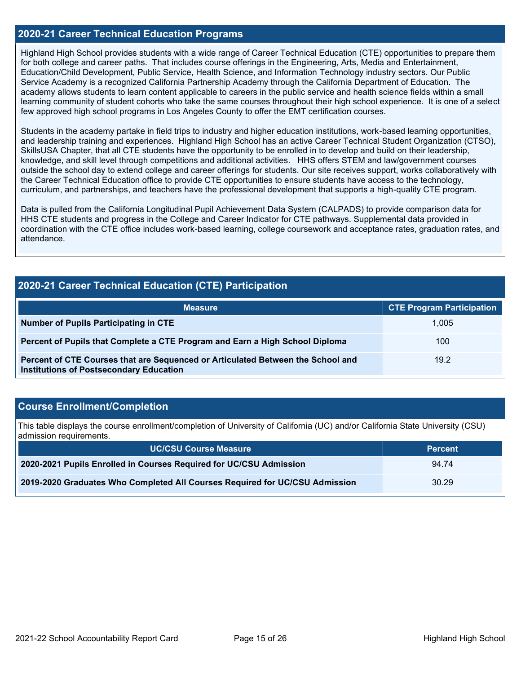### **2020-21 Career Technical Education Programs**

Highland High School provides students with a wide range of Career Technical Education (CTE) opportunities to prepare them for both college and career paths. That includes course offerings in the Engineering, Arts, Media and Entertainment, Education/Child Development, Public Service, Health Science, and Information Technology industry sectors. Our Public Service Academy is a recognized California Partnership Academy through the California Department of Education. The academy allows students to learn content applicable to careers in the public service and health science fields within a small learning community of student cohorts who take the same courses throughout their high school experience. It is one of a select few approved high school programs in Los Angeles County to offer the EMT certification courses.

Students in the academy partake in field trips to industry and higher education institutions, work-based learning opportunities, and leadership training and experiences. Highland High School has an active Career Technical Student Organization (CTSO), SkillsUSA Chapter, that all CTE students have the opportunity to be enrolled in to develop and build on their leadership, knowledge, and skill level through competitions and additional activities. HHS offers STEM and law/government courses outside the school day to extend college and career offerings for students. Our site receives support, works collaboratively with the Career Technical Education office to provide CTE opportunities to ensure students have access to the technology, curriculum, and partnerships, and teachers have the professional development that supports a high-quality CTE program.

Data is pulled from the California Longitudinal Pupil Achievement Data System (CALPADS) to provide comparison data for HHS CTE students and progress in the College and Career Indicator for CTE pathways. Supplemental data provided in coordination with the CTE office includes work-based learning, college coursework and acceptance rates, graduation rates, and attendance.

### **2020-21 Career Technical Education (CTE) Participation**

| <b>Measure</b>                                                                                                                    | <b>CTE Program Participation</b> |
|-----------------------------------------------------------------------------------------------------------------------------------|----------------------------------|
| <b>Number of Pupils Participating in CTE</b>                                                                                      | 1.005                            |
| Percent of Pupils that Complete a CTE Program and Earn a High School Diploma                                                      | 100                              |
| Percent of CTE Courses that are Sequenced or Articulated Between the School and<br><b>Institutions of Postsecondary Education</b> | 19.2                             |

### **Course Enrollment/Completion**

This table displays the course enrollment/completion of University of California (UC) and/or California State University (CSU) admission requirements.

| <b>UC/CSU Course Measure</b>                                                | <b>Percent</b> |
|-----------------------------------------------------------------------------|----------------|
| 2020-2021 Pupils Enrolled in Courses Required for UC/CSU Admission          | 94.74          |
| 2019-2020 Graduates Who Completed All Courses Required for UC/CSU Admission | 30.29          |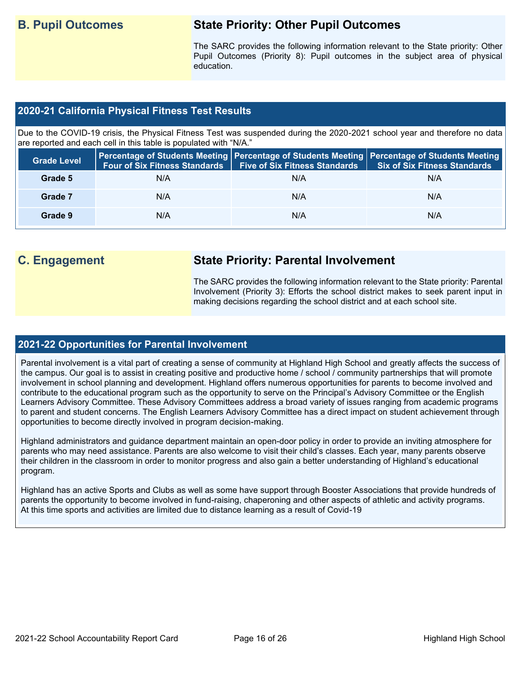## **B. Pupil Outcomes State Priority: Other Pupil Outcomes**

The SARC provides the following information relevant to the State priority: Other Pupil Outcomes (Priority 8): Pupil outcomes in the subject area of physical education.

### **2020-21 California Physical Fitness Test Results**

Due to the COVID-19 crisis, the Physical Fitness Test was suspended during the 2020-2021 school year and therefore no data are reported and each cell in this table is populated with "N/A."

| <b>Grade Level</b> | <b>Four of Six Fitness Standards</b> | Percentage of Students Meeting   Percentage of Students Meeting   Percentage of Students Meeting  <br><b>Six of Six Fitness Standards</b><br><b>Five of Six Fitness Standards</b> |     |
|--------------------|--------------------------------------|-----------------------------------------------------------------------------------------------------------------------------------------------------------------------------------|-----|
| Grade 5            | N/A                                  | N/A                                                                                                                                                                               | N/A |
| Grade 7            | N/A                                  | N/A                                                                                                                                                                               | N/A |
| Grade 9            | N/A                                  | N/A                                                                                                                                                                               | N/A |

## **C. Engagement State Priority: Parental Involvement**

The SARC provides the following information relevant to the State priority: Parental Involvement (Priority 3): Efforts the school district makes to seek parent input in making decisions regarding the school district and at each school site.

### **2021-22 Opportunities for Parental Involvement**

Parental involvement is a vital part of creating a sense of community at Highland High School and greatly affects the success of the campus. Our goal is to assist in creating positive and productive home / school / community partnerships that will promote involvement in school planning and development. Highland offers numerous opportunities for parents to become involved and contribute to the educational program such as the opportunity to serve on the Principal's Advisory Committee or the English Learners Advisory Committee. These Advisory Committees address a broad variety of issues ranging from academic programs to parent and student concerns. The English Learners Advisory Committee has a direct impact on student achievement through opportunities to become directly involved in program decision-making.

Highland administrators and guidance department maintain an open-door policy in order to provide an inviting atmosphere for parents who may need assistance. Parents are also welcome to visit their child's classes. Each year, many parents observe their children in the classroom in order to monitor progress and also gain a better understanding of Highland's educational program.

Highland has an active Sports and Clubs as well as some have support through Booster Associations that provide hundreds of parents the opportunity to become involved in fund-raising, chaperoning and other aspects of athletic and activity programs. At this time sports and activities are limited due to distance learning as a result of Covid-19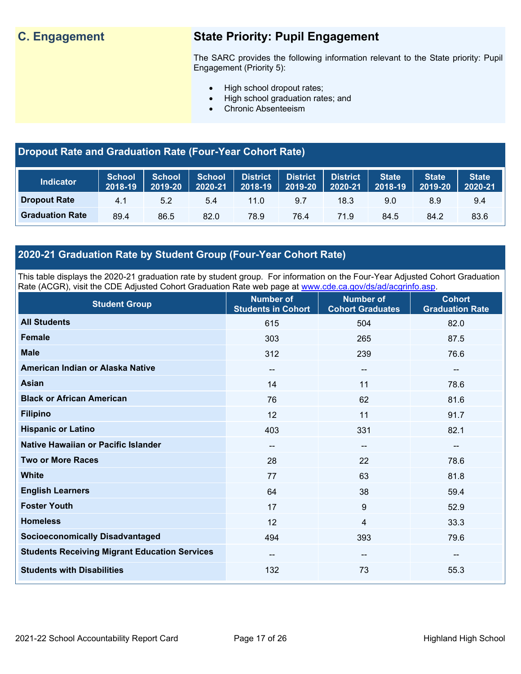## **C. Engagement State Priority: Pupil Engagement**

The SARC provides the following information relevant to the State priority: Pupil Engagement (Priority 5):

- High school dropout rates;
- High school graduation rates; and
- Chronic Absenteeism

## **Dropout Rate and Graduation Rate (Four-Year Cohort Rate)**

| <b>Indicator</b>       | <b>School</b><br>2018-19 | <b>School</b><br>2019-20 | <b>School</b><br>2020-21 | <b>District</b><br>$72018 - 19$ | <b>District</b><br>2019-20 | <b>District</b><br>2020-21 | <b>State</b><br>2018-19 | <b>State</b><br>2019-20 | <b>State</b><br>2020-21 |
|------------------------|--------------------------|--------------------------|--------------------------|---------------------------------|----------------------------|----------------------------|-------------------------|-------------------------|-------------------------|
| <b>Dropout Rate</b>    | 4.1                      | 5.2                      | 5.4                      | 11.0                            | 9.7                        | 18.3                       | 9.0                     | 8.9                     | 9.4                     |
| <b>Graduation Rate</b> | 89.4                     | 86.5                     | 82.0                     | 78.9                            | 76.4                       | 71.9                       | 84.5                    | 84.2                    | 83.6                    |

## **2020-21 Graduation Rate by Student Group (Four-Year Cohort Rate)**

This table displays the 2020-21 graduation rate by student group. For information on the Four-Year Adjusted Cohort Graduation Rate (ACGR), visit the CDE Adjusted Cohort Graduation Rate web page at [www.cde.ca.gov/ds/ad/acgrinfo.asp.](http://www.cde.ca.gov/ds/ad/acgrinfo.asp)

| <b>Student Group</b>                                 | <b>Number of</b><br><b>Students in Cohort</b> | <b>Number of</b><br><b>Cohort Graduates</b> | <b>Cohort</b><br><b>Graduation Rate</b> |
|------------------------------------------------------|-----------------------------------------------|---------------------------------------------|-----------------------------------------|
| <b>All Students</b>                                  | 615                                           | 504                                         | 82.0                                    |
| <b>Female</b>                                        | 303                                           | 265                                         | 87.5                                    |
| <b>Male</b>                                          | 312                                           | 239                                         | 76.6                                    |
| American Indian or Alaska Native                     | --                                            | --                                          | $\overline{\phantom{a}}$                |
| <b>Asian</b>                                         | 14                                            | 11                                          | 78.6                                    |
| <b>Black or African American</b>                     | 76                                            | 62                                          | 81.6                                    |
| <b>Filipino</b>                                      | 12                                            | 11                                          | 91.7                                    |
| <b>Hispanic or Latino</b>                            | 403                                           | 331                                         | 82.1                                    |
| Native Hawaiian or Pacific Islander                  | $-$                                           | --                                          | $\overline{\phantom{m}}$                |
| <b>Two or More Races</b>                             | 28                                            | 22                                          | 78.6                                    |
| <b>White</b>                                         | 77                                            | 63                                          | 81.8                                    |
| <b>English Learners</b>                              | 64                                            | 38                                          | 59.4                                    |
| <b>Foster Youth</b>                                  | 17                                            | 9                                           | 52.9                                    |
| <b>Homeless</b>                                      | 12                                            | 4                                           | 33.3                                    |
| <b>Socioeconomically Disadvantaged</b>               | 494                                           | 393                                         | 79.6                                    |
| <b>Students Receiving Migrant Education Services</b> | --                                            | --                                          | --                                      |
| <b>Students with Disabilities</b>                    | 132                                           | 73                                          | 55.3                                    |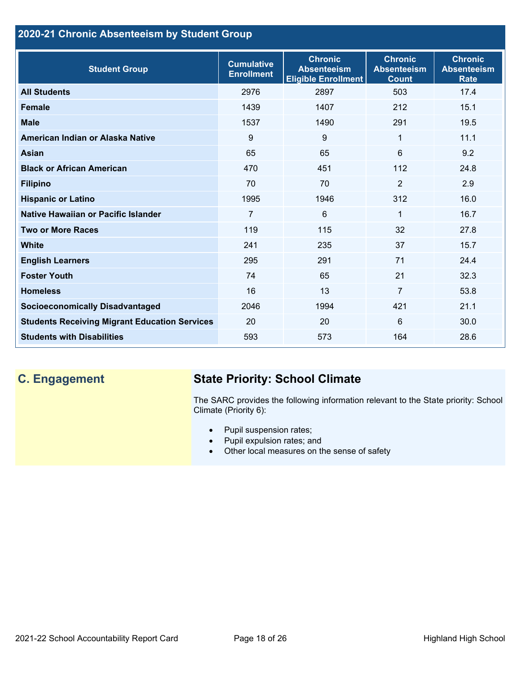## **2020-21 Chronic Absenteeism by Student Group**

| <b>Student Group</b>                                 | <b>Cumulative</b><br><b>Enrollment</b> | <b>Chronic</b><br><b>Absenteeism</b><br><b>Eligible Enrollment</b> | <b>Chronic</b><br><b>Absenteeism</b><br><b>Count</b> | <b>Chronic</b><br><b>Absenteeism</b><br><b>Rate</b> |
|------------------------------------------------------|----------------------------------------|--------------------------------------------------------------------|------------------------------------------------------|-----------------------------------------------------|
| <b>All Students</b>                                  | 2976                                   | 2897                                                               | 503                                                  | 17.4                                                |
| <b>Female</b>                                        | 1439                                   | 1407                                                               | 212                                                  | 15.1                                                |
| <b>Male</b>                                          | 1537                                   | 1490                                                               | 291                                                  | 19.5                                                |
| American Indian or Alaska Native                     | 9                                      | 9                                                                  | 1                                                    | 11.1                                                |
| <b>Asian</b>                                         | 65                                     | 65                                                                 | 6                                                    | 9.2                                                 |
| <b>Black or African American</b>                     | 470                                    | 451                                                                | 112                                                  | 24.8                                                |
| <b>Filipino</b>                                      | 70                                     | 70                                                                 | $\overline{2}$                                       | 2.9                                                 |
| <b>Hispanic or Latino</b>                            | 1995                                   | 1946                                                               | 312                                                  | 16.0                                                |
| Native Hawaiian or Pacific Islander                  | 7                                      | 6                                                                  | 1                                                    | 16.7                                                |
| <b>Two or More Races</b>                             | 119                                    | 115                                                                | 32                                                   | 27.8                                                |
| <b>White</b>                                         | 241                                    | 235                                                                | 37                                                   | 15.7                                                |
| <b>English Learners</b>                              | 295                                    | 291                                                                | 71                                                   | 24.4                                                |
| <b>Foster Youth</b>                                  | 74                                     | 65                                                                 | 21                                                   | 32.3                                                |
| <b>Homeless</b>                                      | 16                                     | 13                                                                 | $\overline{7}$                                       | 53.8                                                |
| <b>Socioeconomically Disadvantaged</b>               | 2046                                   | 1994                                                               | 421                                                  | 21.1                                                |
| <b>Students Receiving Migrant Education Services</b> | 20                                     | 20                                                                 | 6                                                    | 30.0                                                |
| <b>Students with Disabilities</b>                    | 593                                    | 573                                                                | 164                                                  | 28.6                                                |

## **C. Engagement State Priority: School Climate**

The SARC provides the following information relevant to the State priority: School Climate (Priority 6):

- Pupil suspension rates;
- Pupil expulsion rates; and
- Other local measures on the sense of safety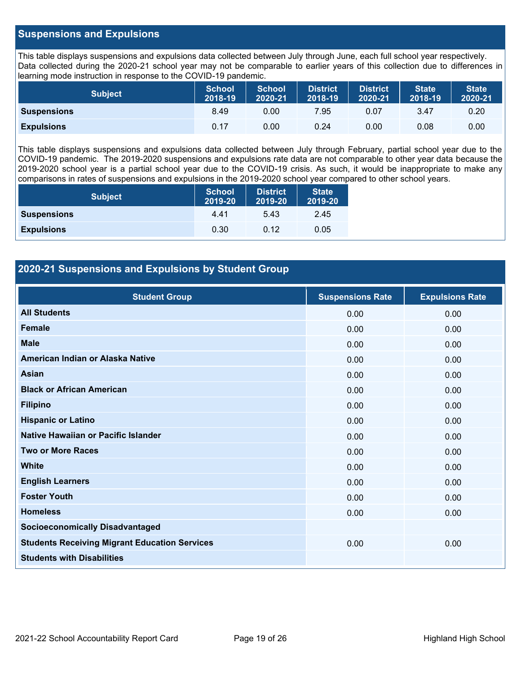### **Suspensions and Expulsions**

This table displays suspensions and expulsions data collected between July through June, each full school year respectively. Data collected during the 2020-21 school year may not be comparable to earlier years of this collection due to differences in learning mode instruction in response to the COVID-19 pandemic.

| <b>Subject</b>     | <b>School</b><br>2018-19 | <b>School</b><br>2020-21 | <b>District</b><br>2018-19 | <b>District</b><br>2020-21 | <b>State</b><br>2018-19 | <b>State</b><br>2020-21 |
|--------------------|--------------------------|--------------------------|----------------------------|----------------------------|-------------------------|-------------------------|
| <b>Suspensions</b> | 8.49                     | 0.00                     | 7.95                       | 0.07                       | 3.47                    | 0.20                    |
| <b>Expulsions</b>  | 0.17                     | 0.00                     | 0.24                       | 0.00                       | 0.08                    | 0.00                    |

This table displays suspensions and expulsions data collected between July through February, partial school year due to the COVID-19 pandemic. The 2019-2020 suspensions and expulsions rate data are not comparable to other year data because the 2019-2020 school year is a partial school year due to the COVID-19 crisis. As such, it would be inappropriate to make any comparisons in rates of suspensions and expulsions in the 2019-2020 school year compared to other school years.

| <b>Subject</b>     | <b>School</b><br>2019-20 | <b>District</b><br>2019-20 | <b>State</b><br>2019-20 |
|--------------------|--------------------------|----------------------------|-------------------------|
| <b>Suspensions</b> | 4.41                     | 5.43                       | 2.45                    |
| <b>Expulsions</b>  | 0.30                     | 0.12                       | 0.05                    |

### **2020-21 Suspensions and Expulsions by Student Group**

| <b>Student Group</b>                                 | <b>Suspensions Rate</b> | <b>Expulsions Rate</b> |
|------------------------------------------------------|-------------------------|------------------------|
| <b>All Students</b>                                  | 0.00                    | 0.00                   |
| <b>Female</b>                                        | 0.00                    | 0.00                   |
| <b>Male</b>                                          | 0.00                    | 0.00                   |
| American Indian or Alaska Native                     | 0.00                    | 0.00                   |
| <b>Asian</b>                                         | 0.00                    | 0.00                   |
| <b>Black or African American</b>                     | 0.00                    | 0.00                   |
| <b>Filipino</b>                                      | 0.00                    | 0.00                   |
| <b>Hispanic or Latino</b>                            | 0.00                    | 0.00                   |
| Native Hawaiian or Pacific Islander                  | 0.00                    | 0.00                   |
| <b>Two or More Races</b>                             | 0.00                    | 0.00                   |
| <b>White</b>                                         | 0.00                    | 0.00                   |
| <b>English Learners</b>                              | 0.00                    | 0.00                   |
| <b>Foster Youth</b>                                  | 0.00                    | 0.00                   |
| <b>Homeless</b>                                      | 0.00                    | 0.00                   |
| <b>Socioeconomically Disadvantaged</b>               |                         |                        |
| <b>Students Receiving Migrant Education Services</b> | 0.00                    | 0.00                   |
| <b>Students with Disabilities</b>                    |                         |                        |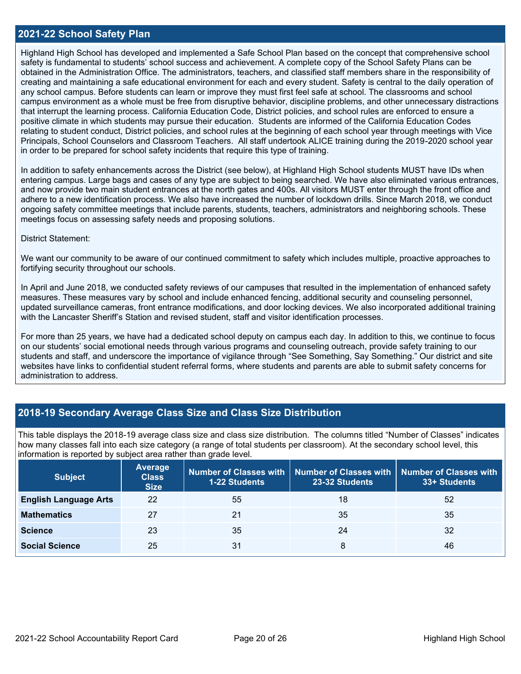### **2021-22 School Safety Plan**

Highland High School has developed and implemented a Safe School Plan based on the concept that comprehensive school safety is fundamental to students' school success and achievement. A complete copy of the School Safety Plans can be obtained in the Administration Office. The administrators, teachers, and classified staff members share in the responsibility of creating and maintaining a safe educational environment for each and every student. Safety is central to the daily operation of any school campus. Before students can learn or improve they must first feel safe at school. The classrooms and school campus environment as a whole must be free from disruptive behavior, discipline problems, and other unnecessary distractions that interrupt the learning process. California Education Code, District policies, and school rules are enforced to ensure a positive climate in which students may pursue their education. Students are informed of the California Education Codes relating to student conduct, District policies, and school rules at the beginning of each school year through meetings with Vice Principals, School Counselors and Classroom Teachers. All staff undertook ALICE training during the 2019-2020 school year in order to be prepared for school safety incidents that require this type of training.

In addition to safety enhancements across the District (see below), at Highland High School students MUST have IDs when entering campus. Large bags and cases of any type are subject to being searched. We have also eliminated various entrances, and now provide two main student entrances at the north gates and 400s. All visitors MUST enter through the front office and adhere to a new identification process. We also have increased the number of lockdown drills. Since March 2018, we conduct ongoing safety committee meetings that include parents, students, teachers, administrators and neighboring schools. These meetings focus on assessing safety needs and proposing solutions.

### District Statement:

We want our community to be aware of our continued commitment to safety which includes multiple, proactive approaches to fortifying security throughout our schools.

In April and June 2018, we conducted safety reviews of our campuses that resulted in the implementation of enhanced safety measures. These measures vary by school and include enhanced fencing, additional security and counseling personnel, updated surveillance cameras, front entrance modifications, and door locking devices. We also incorporated additional training with the Lancaster Sheriff's Station and revised student, staff and visitor identification processes.

For more than 25 years, we have had a dedicated school deputy on campus each day. In addition to this, we continue to focus on our students' social emotional needs through various programs and counseling outreach, provide safety training to our students and staff, and underscore the importance of vigilance through "See Something, Say Something." Our district and site websites have links to confidential student referral forms, where students and parents are able to submit safety concerns for administration to address.

### **2018-19 Secondary Average Class Size and Class Size Distribution**

This table displays the 2018-19 average class size and class size distribution. The columns titled "Number of Classes" indicates how many classes fall into each size category (a range of total students per classroom). At the secondary school level, this information is reported by subject area rather than grade level.

| <b>Subject</b>               | <b>Average</b><br><b>Class</b><br><b>Size</b> | <b>1-22 Students</b> | Number of Classes with   Number of Classes with   Number of Classes with<br>23-32 Students | 33+ Students |
|------------------------------|-----------------------------------------------|----------------------|--------------------------------------------------------------------------------------------|--------------|
| <b>English Language Arts</b> | 22                                            | 55                   | 18                                                                                         | 52           |
| <b>Mathematics</b>           | 27                                            | 21                   | 35                                                                                         | 35           |
| <b>Science</b>               | 23                                            | 35                   | 24                                                                                         | 32           |
| <b>Social Science</b>        | 25                                            | 31                   | 8                                                                                          | 46           |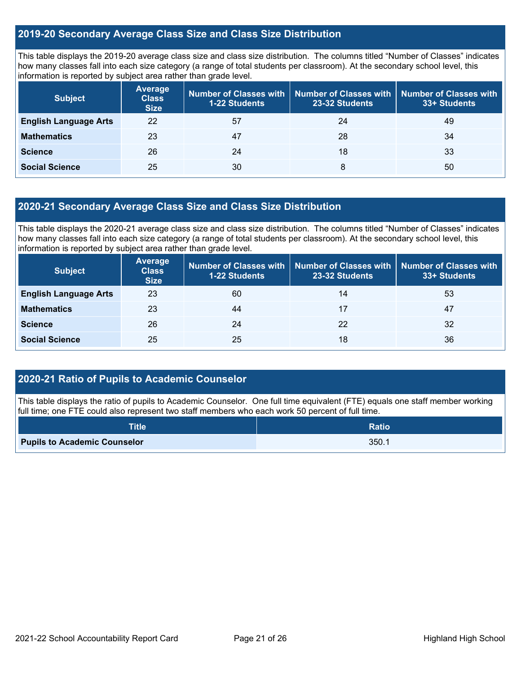### **2019-20 Secondary Average Class Size and Class Size Distribution**

This table displays the 2019-20 average class size and class size distribution. The columns titled "Number of Classes" indicates how many classes fall into each size category (a range of total students per classroom). At the secondary school level, this information is reported by subject area rather than grade level.

| <b>Subject</b>               | <b>Average</b><br><b>Class</b><br><b>Size</b> | Number of Classes with<br><b>1-22 Students</b> | <b>Number of Classes with</b><br>23-32 Students | Number of Classes with<br>33+ Students |
|------------------------------|-----------------------------------------------|------------------------------------------------|-------------------------------------------------|----------------------------------------|
| <b>English Language Arts</b> | 22                                            | 57                                             | 24                                              | 49                                     |
| <b>Mathematics</b>           | 23                                            | 47                                             | 28                                              | 34                                     |
| <b>Science</b>               | 26                                            | 24                                             | 18                                              | 33                                     |
| <b>Social Science</b>        | 25                                            | 30                                             | 8                                               | 50                                     |

### **2020-21 Secondary Average Class Size and Class Size Distribution**

This table displays the 2020-21 average class size and class size distribution. The columns titled "Number of Classes" indicates how many classes fall into each size category (a range of total students per classroom). At the secondary school level, this information is reported by subject area rather than grade level.

| <b>Subject</b>               | <b>Average</b><br><b>Class</b><br><b>Size</b> | Number of Classes with<br><b>1-22 Students</b> | 23-32 Students | Number of Classes with   Number of Classes with<br>33+ Students |
|------------------------------|-----------------------------------------------|------------------------------------------------|----------------|-----------------------------------------------------------------|
| <b>English Language Arts</b> | 23                                            | 60                                             | 14             | 53                                                              |
| <b>Mathematics</b>           | 23                                            | 44                                             | 17             | 47                                                              |
| <b>Science</b>               | 26                                            | 24                                             | 22             | 32                                                              |
| <b>Social Science</b>        | 25                                            | 25                                             | 18             | 36                                                              |

### **2020-21 Ratio of Pupils to Academic Counselor**

This table displays the ratio of pupils to Academic Counselor. One full time equivalent (FTE) equals one staff member working full time; one FTE could also represent two staff members who each work 50 percent of full time.

| <b>Title</b>                        | <b>Ratio</b> |
|-------------------------------------|--------------|
| <b>Pupils to Academic Counselor</b> | 350.1        |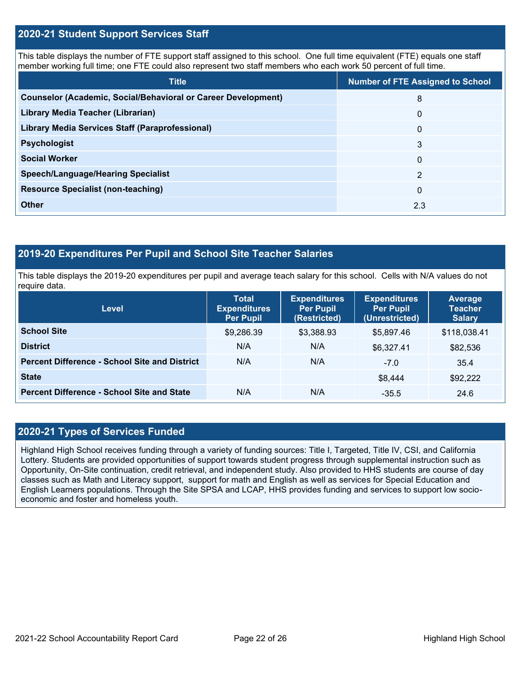### **2020-21 Student Support Services Staff**

This table displays the number of FTE support staff assigned to this school. One full time equivalent (FTE) equals one staff member working full time; one FTE could also represent two staff members who each work 50 percent of full time.

| <b>Title</b>                                                         | <b>Number of FTE Assigned to School</b> |
|----------------------------------------------------------------------|-----------------------------------------|
| <b>Counselor (Academic, Social/Behavioral or Career Development)</b> | 8                                       |
| Library Media Teacher (Librarian)                                    | $\overline{0}$                          |
| Library Media Services Staff (Paraprofessional)                      | $\Omega$                                |
| <b>Psychologist</b>                                                  | 3                                       |
| <b>Social Worker</b>                                                 | $\Omega$                                |
| <b>Speech/Language/Hearing Specialist</b>                            | $\mathcal{P}$                           |
| <b>Resource Specialist (non-teaching)</b>                            | $\Omega$                                |
| <b>Other</b>                                                         | 2.3                                     |

### **2019-20 Expenditures Per Pupil and School Site Teacher Salaries**

This table displays the 2019-20 expenditures per pupil and average teach salary for this school. Cells with N/A values do not require data.

| <b>Level</b>                                         | <b>Total</b><br><b>Expenditures</b><br><b>Per Pupil</b> | <b>Expenditures</b><br><b>Per Pupil</b><br>(Restricted) | <b>Expenditures</b><br><b>Per Pupil</b><br>(Unrestricted) | Average<br><b>Teacher</b><br><b>Salary</b> |
|------------------------------------------------------|---------------------------------------------------------|---------------------------------------------------------|-----------------------------------------------------------|--------------------------------------------|
| <b>School Site</b>                                   | \$9,286.39                                              | \$3,388.93                                              | \$5,897.46                                                | \$118,038.41                               |
| <b>District</b>                                      | N/A                                                     | N/A                                                     | \$6,327.41                                                | \$82,536                                   |
| <b>Percent Difference - School Site and District</b> | N/A                                                     | N/A                                                     | $-7.0$                                                    | 35.4                                       |
| <b>State</b>                                         |                                                         |                                                         | \$8,444                                                   | \$92,222                                   |
| <b>Percent Difference - School Site and State</b>    | N/A                                                     | N/A                                                     | $-35.5$                                                   | 24.6                                       |

### **2020-21 Types of Services Funded**

Highland High School receives funding through a variety of funding sources: Title I, Targeted, Title IV, CSI, and California Lottery. Students are provided opportunities of support towards student progress through supplemental instruction such as Opportunity, On-Site continuation, credit retrieval, and independent study. Also provided to HHS students are course of day classes such as Math and Literacy support, support for math and English as well as services for Special Education and English Learners populations. Through the Site SPSA and LCAP, HHS provides funding and services to support low socioeconomic and foster and homeless youth.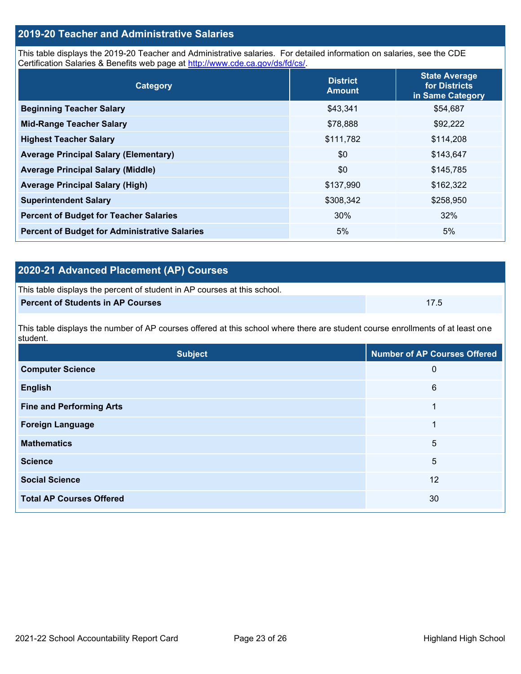## **2019-20 Teacher and Administrative Salaries**

This table displays the 2019-20 Teacher and Administrative salaries. For detailed information on salaries, see the CDE Certification Salaries & Benefits web page at [http://www.cde.ca.gov/ds/fd/cs/.](http://www.cde.ca.gov/ds/fd/cs/)

| Category                                             | <b>District</b><br><b>Amount</b> | <b>State Average</b><br>for Districts<br>in Same Category |
|------------------------------------------------------|----------------------------------|-----------------------------------------------------------|
| <b>Beginning Teacher Salary</b>                      | \$43,341                         | \$54,687                                                  |
| <b>Mid-Range Teacher Salary</b>                      | \$78,888                         | \$92,222                                                  |
| <b>Highest Teacher Salary</b>                        | \$111,782                        | \$114,208                                                 |
| <b>Average Principal Salary (Elementary)</b>         | \$0                              | \$143,647                                                 |
| <b>Average Principal Salary (Middle)</b>             | \$0                              | \$145,785                                                 |
| <b>Average Principal Salary (High)</b>               | \$137,990                        | \$162,322                                                 |
| <b>Superintendent Salary</b>                         | \$308,342                        | \$258,950                                                 |
| <b>Percent of Budget for Teacher Salaries</b>        | 30%                              | 32%                                                       |
| <b>Percent of Budget for Administrative Salaries</b> | 5%                               | 5%                                                        |

## **2020-21 Advanced Placement (AP) Courses**

| This table displays the percent of student in AP courses at this school. |      |
|--------------------------------------------------------------------------|------|
| <b>Percent of Students in AP Courses</b>                                 | 17.5 |

This table displays the number of AP courses offered at this school where there are student course enrollments of at least one student.

| <b>Subject</b>                  | <b>Number of AP Courses Offered</b> |
|---------------------------------|-------------------------------------|
| <b>Computer Science</b>         | 0                                   |
| <b>English</b>                  | 6                                   |
| <b>Fine and Performing Arts</b> | 1                                   |
| <b>Foreign Language</b>         | 1                                   |
| <b>Mathematics</b>              | 5                                   |
| <b>Science</b>                  | 5                                   |
| <b>Social Science</b>           | 12                                  |
| <b>Total AP Courses Offered</b> | 30                                  |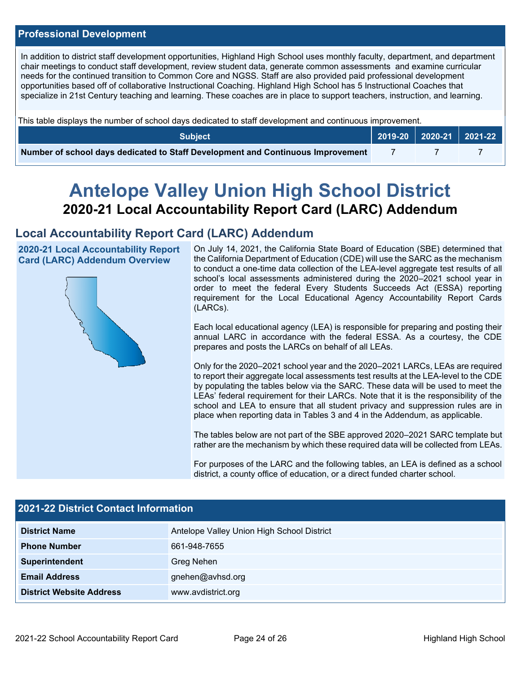### **Professional Development**

In addition to district staff development opportunities, Highland High School uses monthly faculty, department, and department chair meetings to conduct staff development, review student data, generate common assessments and examine curricular needs for the continued transition to Common Core and NGSS. Staff are also provided paid professional development opportunities based off of collaborative Instructional Coaching. Highland High School has 5 Instructional Coaches that specialize in 21st Century teaching and learning. These coaches are in place to support teachers, instruction, and learning.

This table displays the number of school days dedicated to staff development and continuous improvement.

| <b>Subject</b>                                                                  |  | $\vert$ 2019-20 2020-21 2021-22 |
|---------------------------------------------------------------------------------|--|---------------------------------|
| Number of school days dedicated to Staff Development and Continuous Improvement |  |                                 |

# **Antelope Valley Union High School District 2020-21 Local Accountability Report Card (LARC) Addendum**

## **Local Accountability Report Card (LARC) Addendum**

**2020-21 Local Accountability Report Card (LARC) Addendum Overview**



On July 14, 2021, the California State Board of Education (SBE) determined that the California Department of Education (CDE) will use the SARC as the mechanism to conduct a one-time data collection of the LEA-level aggregate test results of all school's local assessments administered during the 2020–2021 school year in order to meet the federal Every Students Succeeds Act (ESSA) reporting requirement for the Local Educational Agency Accountability Report Cards (LARCs).

Each local educational agency (LEA) is responsible for preparing and posting their annual LARC in accordance with the federal ESSA. As a courtesy, the CDE prepares and posts the LARCs on behalf of all LEAs.

Only for the 2020–2021 school year and the 2020–2021 LARCs, LEAs are required to report their aggregate local assessments test results at the LEA-level to the CDE by populating the tables below via the SARC. These data will be used to meet the LEAs' federal requirement for their LARCs. Note that it is the responsibility of the school and LEA to ensure that all student privacy and suppression rules are in place when reporting data in Tables 3 and 4 in the Addendum, as applicable.

The tables below are not part of the SBE approved 2020–2021 SARC template but rather are the mechanism by which these required data will be collected from LEAs.

For purposes of the LARC and the following tables, an LEA is defined as a school district, a county office of education, or a direct funded charter school.

| 2021-22 District Contact Information |                                            |  |  |  |
|--------------------------------------|--------------------------------------------|--|--|--|
| <b>District Name</b>                 | Antelope Valley Union High School District |  |  |  |
| <b>Phone Number</b>                  | 661-948-7655                               |  |  |  |
| Superintendent                       | Greg Nehen                                 |  |  |  |
| <b>Email Address</b>                 | gnehen@avhsd.org                           |  |  |  |
| <b>District Website Address</b>      | www.avdistrict.org                         |  |  |  |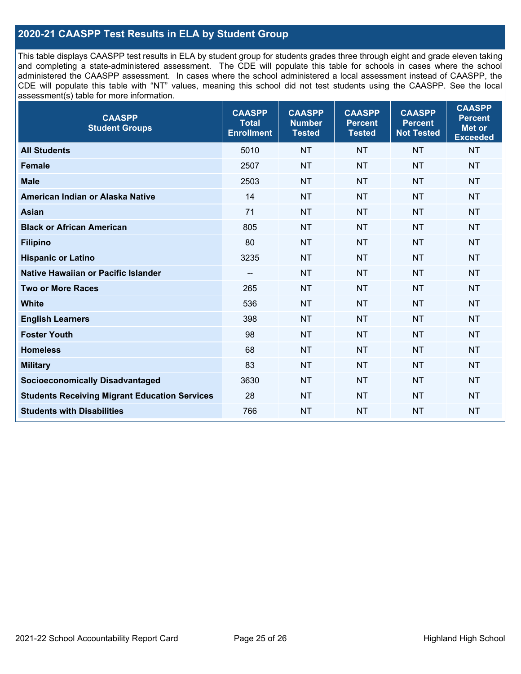### **2020-21 CAASPP Test Results in ELA by Student Group**

This table displays CAASPP test results in ELA by student group for students grades three through eight and grade eleven taking and completing a state-administered assessment. The CDE will populate this table for schools in cases where the school administered the CAASPP assessment. In cases where the school administered a local assessment instead of CAASPP, the CDE will populate this table with "NT" values, meaning this school did not test students using the CAASPP. See the local assessment(s) table for more information.

| <b>CAASPP</b><br><b>Student Groups</b>               | <b>CAASPP</b><br><b>Total</b><br><b>Enrollment</b> | <b>CAASPP</b><br><b>Number</b><br><b>Tested</b> | <b>CAASPP</b><br><b>Percent</b><br><b>Tested</b> | <b>CAASPP</b><br><b>Percent</b><br><b>Not Tested</b> | <b>CAASPP</b><br><b>Percent</b><br>Met or<br><b>Exceeded</b> |
|------------------------------------------------------|----------------------------------------------------|-------------------------------------------------|--------------------------------------------------|------------------------------------------------------|--------------------------------------------------------------|
| <b>All Students</b>                                  | 5010                                               | <b>NT</b>                                       | <b>NT</b>                                        | <b>NT</b>                                            | <b>NT</b>                                                    |
| <b>Female</b>                                        | 2507                                               | <b>NT</b>                                       | <b>NT</b>                                        | <b>NT</b>                                            | <b>NT</b>                                                    |
| <b>Male</b>                                          | 2503                                               | <b>NT</b>                                       | <b>NT</b>                                        | <b>NT</b>                                            | <b>NT</b>                                                    |
| American Indian or Alaska Native                     | 14                                                 | <b>NT</b>                                       | <b>NT</b>                                        | <b>NT</b>                                            | <b>NT</b>                                                    |
| <b>Asian</b>                                         | 71                                                 | <b>NT</b>                                       | <b>NT</b>                                        | <b>NT</b>                                            | <b>NT</b>                                                    |
| <b>Black or African American</b>                     | 805                                                | <b>NT</b>                                       | <b>NT</b>                                        | <b>NT</b>                                            | <b>NT</b>                                                    |
| <b>Filipino</b>                                      | 80                                                 | <b>NT</b>                                       | <b>NT</b>                                        | <b>NT</b>                                            | <b>NT</b>                                                    |
| <b>Hispanic or Latino</b>                            | 3235                                               | <b>NT</b>                                       | <b>NT</b>                                        | <b>NT</b>                                            | <b>NT</b>                                                    |
| Native Hawaiian or Pacific Islander                  | $\overline{\phantom{a}}$                           | <b>NT</b>                                       | <b>NT</b>                                        | <b>NT</b>                                            | <b>NT</b>                                                    |
| <b>Two or More Races</b>                             | 265                                                | <b>NT</b>                                       | <b>NT</b>                                        | <b>NT</b>                                            | <b>NT</b>                                                    |
| <b>White</b>                                         | 536                                                | <b>NT</b>                                       | <b>NT</b>                                        | <b>NT</b>                                            | <b>NT</b>                                                    |
| <b>English Learners</b>                              | 398                                                | <b>NT</b>                                       | <b>NT</b>                                        | <b>NT</b>                                            | <b>NT</b>                                                    |
| <b>Foster Youth</b>                                  | 98                                                 | <b>NT</b>                                       | <b>NT</b>                                        | <b>NT</b>                                            | <b>NT</b>                                                    |
| <b>Homeless</b>                                      | 68                                                 | <b>NT</b>                                       | <b>NT</b>                                        | <b>NT</b>                                            | <b>NT</b>                                                    |
| <b>Military</b>                                      | 83                                                 | <b>NT</b>                                       | <b>NT</b>                                        | <b>NT</b>                                            | <b>NT</b>                                                    |
| <b>Socioeconomically Disadvantaged</b>               | 3630                                               | <b>NT</b>                                       | <b>NT</b>                                        | <b>NT</b>                                            | <b>NT</b>                                                    |
| <b>Students Receiving Migrant Education Services</b> | 28                                                 | <b>NT</b>                                       | <b>NT</b>                                        | <b>NT</b>                                            | <b>NT</b>                                                    |
| <b>Students with Disabilities</b>                    | 766                                                | <b>NT</b>                                       | <b>NT</b>                                        | <b>NT</b>                                            | <b>NT</b>                                                    |